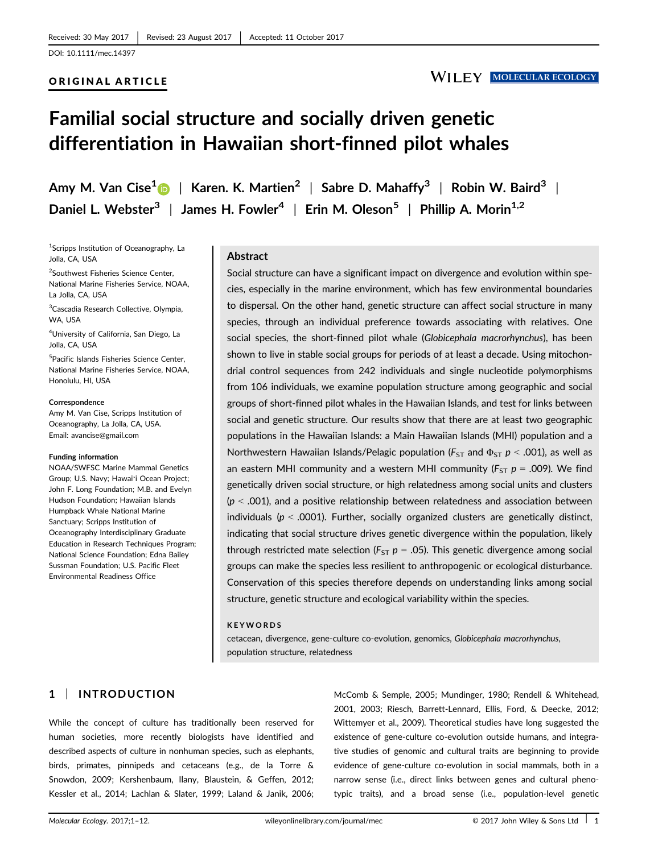## ORIGINAL ARTICLE

# **WILEY MOLECULAR ECOLOGY**

# Familial social structure and socially driven genetic differentiation in Hawaiian short-finned pilot whales

Amy M. Van Cise<sup>1</sup> | Karen. K. Martien<sup>2</sup> | Sabre D. Mahaffy<sup>3</sup> | Robin W. Baird<sup>3</sup> | Daniel L. Webster<sup>3</sup> | James H. Fowler<sup>4</sup> | Erin M. Oleson<sup>5</sup> | Phillip A. Morin<sup>1,2</sup>

1 Scripps Institution of Oceanography, La Jolla, CA, USA

<sup>2</sup>Southwest Fisheries Science Center, National Marine Fisheries Service, NOAA, La Jolla, CA, USA

3 Cascadia Research Collective, Olympia, WA, USA

4 University of California, San Diego, La Jolla, CA, USA

5 Pacific Islands Fisheries Science Center, National Marine Fisheries Service, NOAA, Honolulu, HI, USA

#### **Correspondence**

Amy M. Van Cise, Scripps Institution of Oceanography, La Jolla, CA, USA. Email: avancise@gmail.com

#### Funding information

NOAA/SWFSC Marine Mammal Genetics Group; U.S. Navy; Hawaiʻi Ocean Project; John F. Long Foundation; M.B. and Evelyn Hudson Foundation; Hawaiian Islands Humpback Whale National Marine Sanctuary; Scripps Institution of Oceanography Interdisciplinary Graduate Education in Research Techniques Program; National Science Foundation; Edna Bailey Sussman Foundation; U.S. Pacific Fleet Environmental Readiness Office

### Abstract

Social structure can have a significant impact on divergence and evolution within species, especially in the marine environment, which has few environmental boundaries to dispersal. On the other hand, genetic structure can affect social structure in many species, through an individual preference towards associating with relatives. One social species, the short-finned pilot whale (Globicephala macrorhynchus), has been shown to live in stable social groups for periods of at least a decade. Using mitochondrial control sequences from 242 individuals and single nucleotide polymorphisms from 106 individuals, we examine population structure among geographic and social groups of short-finned pilot whales in the Hawaiian Islands, and test for links between social and genetic structure. Our results show that there are at least two geographic populations in the Hawaiian Islands: a Main Hawaiian Islands (MHI) population and a Northwestern Hawaiian Islands/Pelagic population ( $F_{ST}$  and  $\Phi_{ST}$   $p < .001$ ), as well as an eastern MHI community and a western MHI community ( $F_{ST}$   $p = .009$ ). We find genetically driven social structure, or high relatedness among social units and clusters  $(p < .001)$ , and a positive relationship between relatedness and association between individuals ( $p < .0001$ ). Further, socially organized clusters are genetically distinct, indicating that social structure drives genetic divergence within the population, likely through restricted mate selection ( $F_{ST}$   $p = .05$ ). This genetic divergence among social groups can make the species less resilient to anthropogenic or ecological disturbance. Conservation of this species therefore depends on understanding links among social structure, genetic structure and ecological variability within the species.

#### **KEYWORDS**

cetacean, divergence, gene-culture co-evolution, genomics, Globicephala macrorhynchus, population structure, relatedness

# 1 | INTRODUCTION

While the concept of culture has traditionally been reserved for human societies, more recently biologists have identified and described aspects of culture in nonhuman species, such as elephants, birds, primates, pinnipeds and cetaceans (e.g., de la Torre & Snowdon, 2009; Kershenbaum, Ilany, Blaustein, & Geffen, 2012; Kessler et al., 2014; Lachlan & Slater, 1999; Laland & Janik, 2006; McComb & Semple, 2005; Mundinger, 1980; Rendell & Whitehead, 2001, 2003; Riesch, Barrett-Lennard, Ellis, Ford, & Deecke, 2012; Wittemyer et al., 2009). Theoretical studies have long suggested the existence of gene-culture co-evolution outside humans, and integrative studies of genomic and cultural traits are beginning to provide evidence of gene-culture co-evolution in social mammals, both in a narrow sense (i.e., direct links between genes and cultural phenotypic traits), and a broad sense (i.e., population-level genetic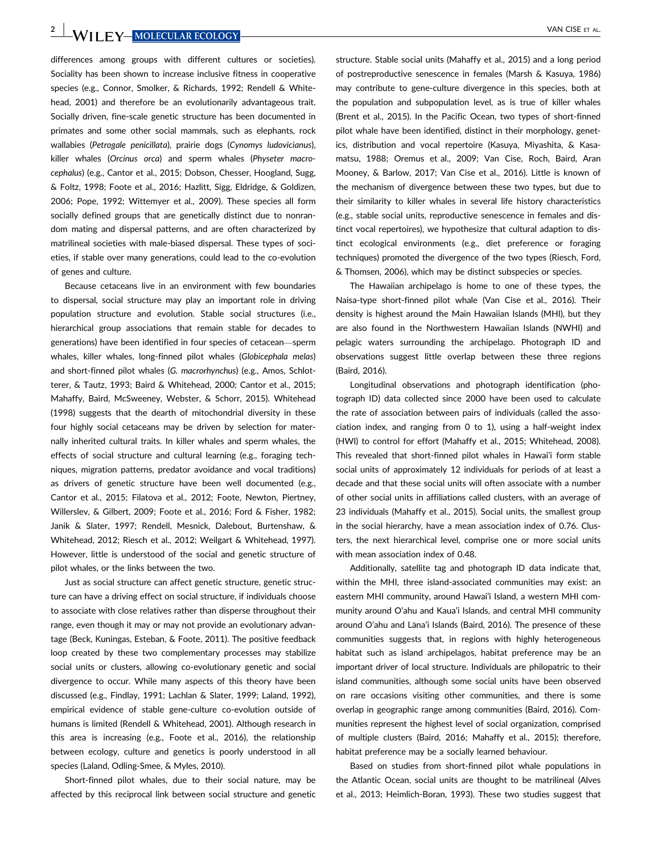**2** WILEY MOLECULAR ECOLOGY VAN CISE ET AL.

differences among groups with different cultures or societies). Sociality has been shown to increase inclusive fitness in cooperative species (e.g., Connor, Smolker, & Richards, 1992; Rendell & Whitehead, 2001) and therefore be an evolutionarily advantageous trait. Socially driven, fine-scale genetic structure has been documented in primates and some other social mammals, such as elephants, rock wallabies (Petrogale penicillata), prairie dogs (Cynomys ludovicianus), killer whales (Orcinus orca) and sperm whales (Physeter macrocephalus) (e.g., Cantor et al., 2015; Dobson, Chesser, Hoogland, Sugg, & Foltz, 1998; Foote et al., 2016; Hazlitt, Sigg, Eldridge, & Goldizen, 2006; Pope, 1992; Wittemyer et al., 2009). These species all form socially defined groups that are genetically distinct due to nonrandom mating and dispersal patterns, and are often characterized by matrilineal societies with male-biased dispersal. These types of societies, if stable over many generations, could lead to the co-evolution of genes and culture.

Because cetaceans live in an environment with few boundaries to dispersal, social structure may play an important role in driving population structure and evolution. Stable social structures (i.e., hierarchical group associations that remain stable for decades to generations) have been identified in four species of cetacean—sperm whales, killer whales, long-finned pilot whales (Globicephala melas) and short-finned pilot whales (G. macrorhynchus) (e.g., Amos, Schlotterer, & Tautz, 1993; Baird & Whitehead, 2000; Cantor et al., 2015; Mahaffy, Baird, McSweeney, Webster, & Schorr, 2015). Whitehead (1998) suggests that the dearth of mitochondrial diversity in these four highly social cetaceans may be driven by selection for maternally inherited cultural traits. In killer whales and sperm whales, the effects of social structure and cultural learning (e.g., foraging techniques, migration patterns, predator avoidance and vocal traditions) as drivers of genetic structure have been well documented (e.g., Cantor et al., 2015; Filatova et al., 2012; Foote, Newton, Piertney, Willerslev, & Gilbert, 2009; Foote et al., 2016; Ford & Fisher, 1982; Janik & Slater, 1997; Rendell, Mesnick, Dalebout, Burtenshaw, & Whitehead, 2012; Riesch et al., 2012; Weilgart & Whitehead, 1997). However, little is understood of the social and genetic structure of pilot whales, or the links between the two.

Just as social structure can affect genetic structure, genetic structure can have a driving effect on social structure, if individuals choose to associate with close relatives rather than disperse throughout their range, even though it may or may not provide an evolutionary advantage (Beck, Kuningas, Esteban, & Foote, 2011). The positive feedback loop created by these two complementary processes may stabilize social units or clusters, allowing co-evolutionary genetic and social divergence to occur. While many aspects of this theory have been discussed (e.g., Findlay, 1991; Lachlan & Slater, 1999; Laland, 1992), empirical evidence of stable gene-culture co-evolution outside of humans is limited (Rendell & Whitehead, 2001). Although research in this area is increasing (e.g., Foote et al., 2016), the relationship between ecology, culture and genetics is poorly understood in all species (Laland, Odling-Smee, & Myles, 2010).

Short-finned pilot whales, due to their social nature, may be affected by this reciprocal link between social structure and genetic structure. Stable social units (Mahaffy et al., 2015) and a long period of postreproductive senescence in females (Marsh & Kasuya, 1986) may contribute to gene-culture divergence in this species, both at the population and subpopulation level, as is true of killer whales (Brent et al., 2015). In the Pacific Ocean, two types of short-finned pilot whale have been identified, distinct in their morphology, genetics, distribution and vocal repertoire (Kasuya, Miyashita, & Kasamatsu, 1988; Oremus et al., 2009; Van Cise, Roch, Baird, Aran Mooney, & Barlow, 2017; Van Cise et al., 2016). Little is known of the mechanism of divergence between these two types, but due to their similarity to killer whales in several life history characteristics (e.g., stable social units, reproductive senescence in females and distinct vocal repertoires), we hypothesize that cultural adaption to distinct ecological environments (e.g., diet preference or foraging techniques) promoted the divergence of the two types (Riesch, Ford, & Thomsen, 2006), which may be distinct subspecies or species.

The Hawaiian archipelago is home to one of these types, the Naisa-type short-finned pilot whale (Van Cise et al., 2016). Their density is highest around the Main Hawaiian Islands (MHI), but they are also found in the Northwestern Hawaiian Islands (NWHI) and pelagic waters surrounding the archipelago. Photograph ID and observations suggest little overlap between these three regions (Baird, 2016).

Longitudinal observations and photograph identification (photograph ID) data collected since 2000 have been used to calculate the rate of association between pairs of individuals (called the association index, and ranging from 0 to 1), using a half-weight index (HWI) to control for effort (Mahaffy et al., 2015; Whitehead, 2008). This revealed that short-finned pilot whales in Hawai'i form stable social units of approximately 12 individuals for periods of at least a decade and that these social units will often associate with a number of other social units in affiliations called clusters, with an average of 23 individuals (Mahaffy et al., 2015). Social units, the smallest group in the social hierarchy, have a mean association index of 0.76. Clusters, the next hierarchical level, comprise one or more social units with mean association index of 0.48.

Additionally, satellite tag and photograph ID data indicate that, within the MHI, three island-associated communities may exist: an eastern MHI community, around Hawai'i Island, a western MHI community around O'ahu and Kaua'i Islands, and central MHI community around O'ahu and Lāna'i Islands (Baird, 2016). The presence of these communities suggests that, in regions with highly heterogeneous habitat such as island archipelagos, habitat preference may be an important driver of local structure. Individuals are philopatric to their island communities, although some social units have been observed on rare occasions visiting other communities, and there is some overlap in geographic range among communities (Baird, 2016). Communities represent the highest level of social organization, comprised of multiple clusters (Baird, 2016; Mahaffy et al., 2015); therefore, habitat preference may be a socially learned behaviour.

Based on studies from short-finned pilot whale populations in the Atlantic Ocean, social units are thought to be matrilineal (Alves et al., 2013; Heimlich-Boran, 1993). These two studies suggest that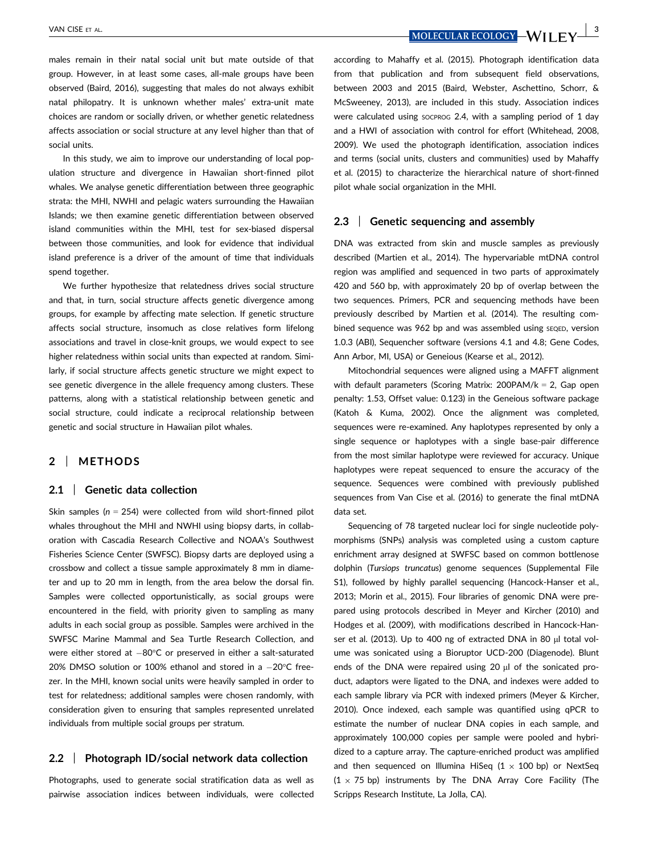males remain in their natal social unit but mate outside of that group. However, in at least some cases, all-male groups have been observed (Baird, 2016), suggesting that males do not always exhibit natal philopatry. It is unknown whether males' extra-unit mate choices are random or socially driven, or whether genetic relatedness affects association or social structure at any level higher than that of social units.

In this study, we aim to improve our understanding of local population structure and divergence in Hawaiian short-finned pilot whales. We analyse genetic differentiation between three geographic strata: the MHI, NWHI and pelagic waters surrounding the Hawaiian Islands; we then examine genetic differentiation between observed island communities within the MHI, test for sex-biased dispersal between those communities, and look for evidence that individual island preference is a driver of the amount of time that individuals spend together.

We further hypothesize that relatedness drives social structure and that, in turn, social structure affects genetic divergence among groups, for example by affecting mate selection. If genetic structure affects social structure, insomuch as close relatives form lifelong associations and travel in close-knit groups, we would expect to see higher relatedness within social units than expected at random. Similarly, if social structure affects genetic structure we might expect to see genetic divergence in the allele frequency among clusters. These patterns, along with a statistical relationship between genetic and social structure, could indicate a reciprocal relationship between genetic and social structure in Hawaiian pilot whales.

# 2 | METHODS

#### 2.1 | Genetic data collection

Skin samples ( $n = 254$ ) were collected from wild short-finned pilot whales throughout the MHI and NWHI using biopsy darts, in collaboration with Cascadia Research Collective and NOAA's Southwest Fisheries Science Center (SWFSC). Biopsy darts are deployed using a crossbow and collect a tissue sample approximately 8 mm in diameter and up to 20 mm in length, from the area below the dorsal fin. Samples were collected opportunistically, as social groups were encountered in the field, with priority given to sampling as many adults in each social group as possible. Samples were archived in the SWFSC Marine Mammal and Sea Turtle Research Collection, and were either stored at  $-80^{\circ}$ C or preserved in either a salt-saturated 20% DMSO solution or 100% ethanol and stored in a  $-20^{\circ}$ C freezer. In the MHI, known social units were heavily sampled in order to test for relatedness; additional samples were chosen randomly, with consideration given to ensuring that samples represented unrelated individuals from multiple social groups per stratum.

### 2.2 | Photograph ID/social network data collection

Photographs, used to generate social stratification data as well as pairwise association indices between individuals, were collected

VAN CISE ET AL.  $\frac{3}{2}$ 

according to Mahaffy et al. (2015). Photograph identification data from that publication and from subsequent field observations, between 2003 and 2015 (Baird, Webster, Aschettino, Schorr, & McSweeney, 2013), are included in this study. Association indices were calculated using socprog 2.4, with a sampling period of 1 day and a HWI of association with control for effort (Whitehead, 2008, 2009). We used the photograph identification, association indices and terms (social units, clusters and communities) used by Mahaffy et al. (2015) to characterize the hierarchical nature of short-finned pilot whale social organization in the MHI.

### 2.3 Genetic sequencing and assembly

DNA was extracted from skin and muscle samples as previously described (Martien et al., 2014). The hypervariable mtDNA control region was amplified and sequenced in two parts of approximately 420 and 560 bp, with approximately 20 bp of overlap between the two sequences. Primers, PCR and sequencing methods have been previously described by Martien et al. (2014). The resulting combined sequence was 962 bp and was assembled using seqep, version 1.0.3 (ABI), Sequencher software (versions 4.1 and 4.8; Gene Codes, Ann Arbor, MI, USA) or Geneious (Kearse et al., 2012).

Mitochondrial sequences were aligned using a MAFFT alignment with default parameters (Scoring Matrix:  $200PAM/k = 2$ , Gap open penalty: 1.53, Offset value: 0.123) in the Geneious software package (Katoh & Kuma, 2002). Once the alignment was completed, sequences were re-examined. Any haplotypes represented by only a single sequence or haplotypes with a single base-pair difference from the most similar haplotype were reviewed for accuracy. Unique haplotypes were repeat sequenced to ensure the accuracy of the sequence. Sequences were combined with previously published sequences from Van Cise et al. (2016) to generate the final mtDNA data set.

Sequencing of 78 targeted nuclear loci for single nucleotide polymorphisms (SNPs) analysis was completed using a custom capture enrichment array designed at SWFSC based on common bottlenose dolphin (Tursiops truncatus) genome sequences (Supplemental File S1), followed by highly parallel sequencing (Hancock-Hanser et al., 2013; Morin et al., 2015). Four libraries of genomic DNA were prepared using protocols described in Meyer and Kircher (2010) and Hodges et al. (2009), with modifications described in Hancock-Hanser et al. (2013). Up to 400 ng of extracted DNA in 80 µl total volume was sonicated using a Bioruptor UCD-200 (Diagenode). Blunt ends of the DNA were repaired using 20  $\mu$ l of the sonicated product, adaptors were ligated to the DNA, and indexes were added to each sample library via PCR with indexed primers (Meyer & Kircher, 2010). Once indexed, each sample was quantified using qPCR to estimate the number of nuclear DNA copies in each sample, and approximately 100,000 copies per sample were pooled and hybridized to a capture array. The capture-enriched product was amplified and then sequenced on Illumina HiSeq  $(1 \times 100$  bp) or NextSeq  $(1 \times 75$  bp) instruments by The DNA Array Core Facility (The Scripps Research Institute, La Jolla, CA).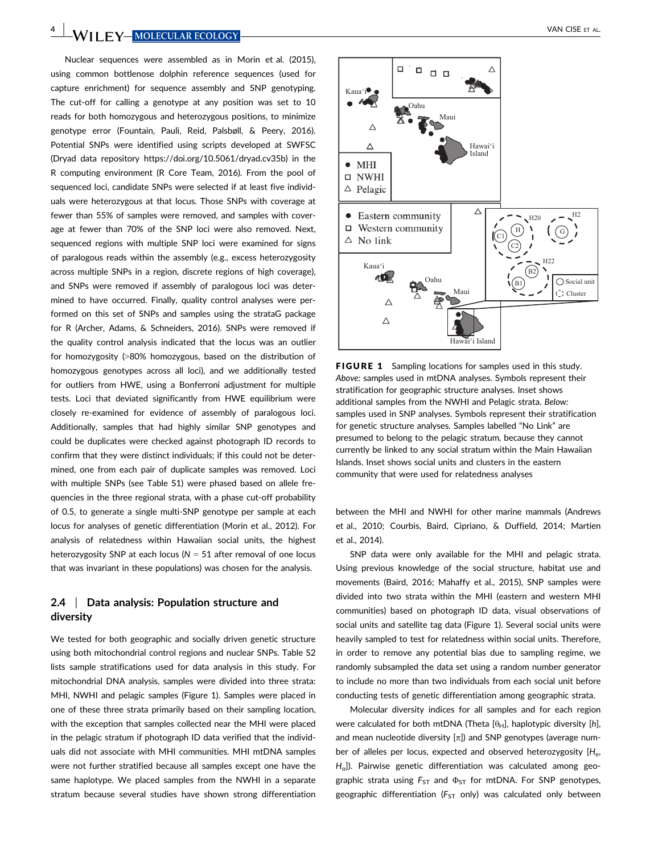4 WII FY MOLECULAR ECOLOGY VAN CISE ET AL.

Nuclear sequences were assembled as in Morin et al. (2015), using common bottlenose dolphin reference sequences (used for capture enrichment) for sequence assembly and SNP genotyping. The cut-off for calling a genotype at any position was set to 10 reads for both homozygous and heterozygous positions, to minimize genotype error (Fountain, Pauli, Reid, Palsbøll, & Peery, 2016). Potential SNPs were identified using scripts developed at SWFSC (Dryad data repository [https://doi.org/10.5061/dryad.cv35b\)](https://doi.org/10.5061/dryad.cv35b) in the R computing environment (R Core Team, 2016). From the pool of sequenced loci, candidate SNPs were selected if at least five individuals were heterozygous at that locus. Those SNPs with coverage at fewer than 55% of samples were removed, and samples with coverage at fewer than 70% of the SNP loci were also removed. Next, sequenced regions with multiple SNP loci were examined for signs of paralogous reads within the assembly (e.g., excess heterozygosity across multiple SNPs in a region, discrete regions of high coverage), and SNPs were removed if assembly of paralogous loci was determined to have occurred. Finally, quality control analyses were performed on this set of SNPs and samples using the strataG package for R (Archer, Adams, & Schneiders, 2016). SNPs were removed if the quality control analysis indicated that the locus was an outlier for homozygosity (>80% homozygous, based on the distribution of homozygous genotypes across all loci), and we additionally tested for outliers from HWE, using a Bonferroni adjustment for multiple tests. Loci that deviated significantly from HWE equilibrium were closely re-examined for evidence of assembly of paralogous loci. Additionally, samples that had highly similar SNP genotypes and could be duplicates were checked against photograph ID records to confirm that they were distinct individuals; if this could not be determined, one from each pair of duplicate samples was removed. Loci with multiple SNPs (see Table S1) were phased based on allele frequencies in the three regional strata, with a phase cut-off probability of 0.5, to generate a single multi-SNP genotype per sample at each locus for analyses of genetic differentiation (Morin et al., 2012). For analysis of relatedness within Hawaiian social units, the highest heterozygosity SNP at each locus ( $N = 51$  after removal of one locus that was invariant in these populations) was chosen for the analysis.

# 2.4 | Data analysis: Population structure and diversity

We tested for both geographic and socially driven genetic structure using both mitochondrial control regions and nuclear SNPs. Table S2 lists sample stratifications used for data analysis in this study. For mitochondrial DNA analysis, samples were divided into three strata: MHI, NWHI and pelagic samples (Figure 1). Samples were placed in one of these three strata primarily based on their sampling location, with the exception that samples collected near the MHI were placed in the pelagic stratum if photograph ID data verified that the individuals did not associate with MHI communities. MHI mtDNA samples were not further stratified because all samples except one have the same haplotype. We placed samples from the NWHI in a separate stratum because several studies have shown strong differentiation



FIGURE 1 Sampling locations for samples used in this study. Above: samples used in mtDNA analyses. Symbols represent their stratification for geographic structure analyses. Inset shows additional samples from the NWHI and Pelagic strata. Below: samples used in SNP analyses. Symbols represent their stratification for genetic structure analyses. Samples labelled "No Link" are presumed to belong to the pelagic stratum, because they cannot currently be linked to any social stratum within the Main Hawaiian Islands. Inset shows social units and clusters in the eastern community that were used for relatedness analyses

between the MHI and NWHI for other marine mammals (Andrews et al., 2010; Courbis, Baird, Cipriano, & Duffield, 2014; Martien et al., 2014).

SNP data were only available for the MHI and pelagic strata. Using previous knowledge of the social structure, habitat use and movements (Baird, 2016; Mahaffy et al., 2015), SNP samples were divided into two strata within the MHI (eastern and western MHI communities) based on photograph ID data, visual observations of social units and satellite tag data (Figure 1). Several social units were heavily sampled to test for relatedness within social units. Therefore, in order to remove any potential bias due to sampling regime, we randomly subsampled the data set using a random number generator to include no more than two individuals from each social unit before conducting tests of genetic differentiation among geographic strata.

Molecular diversity indices for all samples and for each region were calculated for both mtDNA (Theta  $[\theta_H]$ , haplotypic diversity [h], and mean nucleotide diversity  $[\pi]$ ) and SNP genotypes (average number of alleles per locus, expected and observed heterozygosity  $[H_e,$ Ho]). Pairwise genetic differentiation was calculated among geographic strata using  $F_{ST}$  and  $\Phi_{ST}$  for mtDNA. For SNP genotypes, geographic differentiation ( $F_{ST}$  only) was calculated only between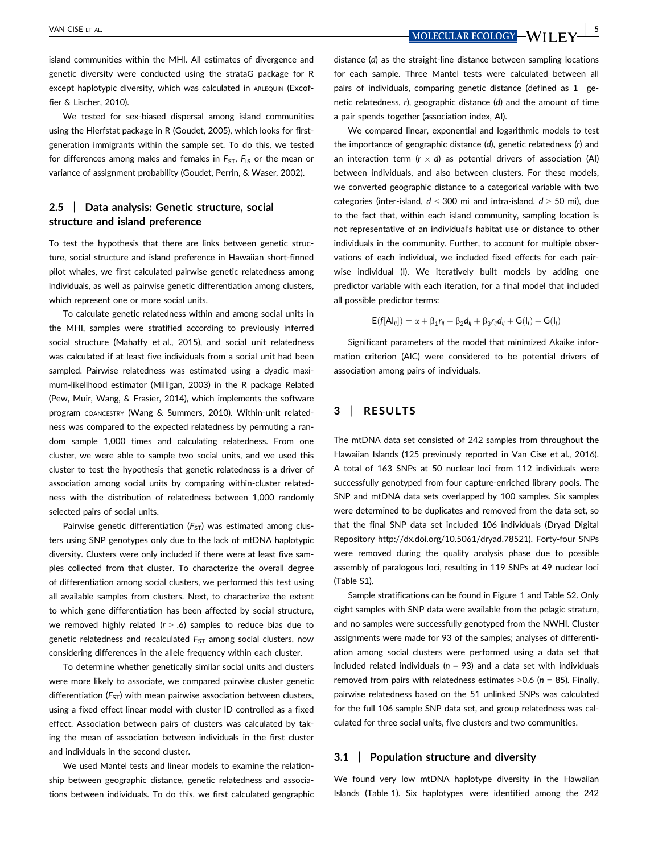VAN CISE ET AL.  $\frac{5}{5}$ 

island communities within the MHI. All estimates of divergence and genetic diversity were conducted using the strataG package for R except haplotypic diversity, which was calculated in ARLEQUIN (Excoffier & Lischer, 2010).

We tested for sex-biased dispersal among island communities using the Hierfstat package in R (Goudet, 2005), which looks for firstgeneration immigrants within the sample set. To do this, we tested for differences among males and females in  $F_{ST}$ ,  $F_{IS}$  or the mean or variance of assignment probability (Goudet, Perrin, & Waser, 2002).

# 2.5 | Data analysis: Genetic structure, social structure and island preference

To test the hypothesis that there are links between genetic structure, social structure and island preference in Hawaiian short-finned pilot whales, we first calculated pairwise genetic relatedness among individuals, as well as pairwise genetic differentiation among clusters, which represent one or more social units.

To calculate genetic relatedness within and among social units in the MHI, samples were stratified according to previously inferred social structure (Mahaffy et al., 2015), and social unit relatedness was calculated if at least five individuals from a social unit had been sampled. Pairwise relatedness was estimated using a dyadic maximum-likelihood estimator (Milligan, 2003) in the R package Related (Pew, Muir, Wang, & Frasier, 2014), which implements the software program COANCESTRY (Wang & Summers, 2010). Within-unit relatedness was compared to the expected relatedness by permuting a random sample 1,000 times and calculating relatedness. From one cluster, we were able to sample two social units, and we used this cluster to test the hypothesis that genetic relatedness is a driver of association among social units by comparing within-cluster relatedness with the distribution of relatedness between 1,000 randomly selected pairs of social units.

Pairwise genetic differentiation  $(F_{ST})$  was estimated among clusters using SNP genotypes only due to the lack of mtDNA haplotypic diversity. Clusters were only included if there were at least five samples collected from that cluster. To characterize the overall degree of differentiation among social clusters, we performed this test using all available samples from clusters. Next, to characterize the extent to which gene differentiation has been affected by social structure, we removed highly related ( $r > .6$ ) samples to reduce bias due to genetic relatedness and recalculated  $F_{ST}$  among social clusters, now considering differences in the allele frequency within each cluster.

To determine whether genetically similar social units and clusters were more likely to associate, we compared pairwise cluster genetic differentiation ( $F_{ST}$ ) with mean pairwise association between clusters, using a fixed effect linear model with cluster ID controlled as a fixed effect. Association between pairs of clusters was calculated by taking the mean of association between individuals in the first cluster and individuals in the second cluster.

We used Mantel tests and linear models to examine the relationship between geographic distance, genetic relatedness and associations between individuals. To do this, we first calculated geographic distance (d) as the straight-line distance between sampling locations for each sample. Three Mantel tests were calculated between all pairs of individuals, comparing genetic distance (defined as 1—genetic relatedness, r), geographic distance (d) and the amount of time a pair spends together (association index, AI).

We compared linear, exponential and logarithmic models to test the importance of geographic distance (d), genetic relatedness (r) and an interaction term ( $r \times d$ ) as potential drivers of association (AI) between individuals, and also between clusters. For these models, we converted geographic distance to a categorical variable with two categories (inter-island,  $d < 300$  mi and intra-island,  $d > 50$  mi), due to the fact that, within each island community, sampling location is not representative of an individual's habitat use or distance to other individuals in the community. Further, to account for multiple observations of each individual, we included fixed effects for each pairwise individual (I). We iteratively built models by adding one predictor variable with each iteration, for a final model that included all possible predictor terms:

$$
E(f[A I_{ij}]) = \alpha + \beta_1 r_{ij} + \beta_2 d_{ij} + \beta_3 r_{ij} d_{ij} + G(I_i) + G(I_j)
$$

Significant parameters of the model that minimized Akaike information criterion (AIC) were considered to be potential drivers of association among pairs of individuals.

# 3 | RESULTS

The mtDNA data set consisted of 242 samples from throughout the Hawaiian Islands (125 previously reported in Van Cise et al., 2016). A total of 163 SNPs at 50 nuclear loci from 112 individuals were successfully genotyped from four capture-enriched library pools. The SNP and mtDNA data sets overlapped by 100 samples. Six samples were determined to be duplicates and removed from the data set, so that the final SNP data set included 106 individuals (Dryad Digital Repository<http://dx.doi.org/10.5061/dryad.78521>). Forty-four SNPs were removed during the quality analysis phase due to possible assembly of paralogous loci, resulting in 119 SNPs at 49 nuclear loci (Table S1).

Sample stratifications can be found in Figure 1 and Table S2. Only eight samples with SNP data were available from the pelagic stratum, and no samples were successfully genotyped from the NWHI. Cluster assignments were made for 93 of the samples; analyses of differentiation among social clusters were performed using a data set that included related individuals ( $n = 93$ ) and a data set with individuals removed from pairs with relatedness estimates  $>0.6$  (n = 85). Finally, pairwise relatedness based on the 51 unlinked SNPs was calculated for the full 106 sample SNP data set, and group relatedness was calculated for three social units, five clusters and two communities.

### 3.1 | Population structure and diversity

We found very low mtDNA haplotype diversity in the Hawaiian Islands (Table 1). Six haplotypes were identified among the 242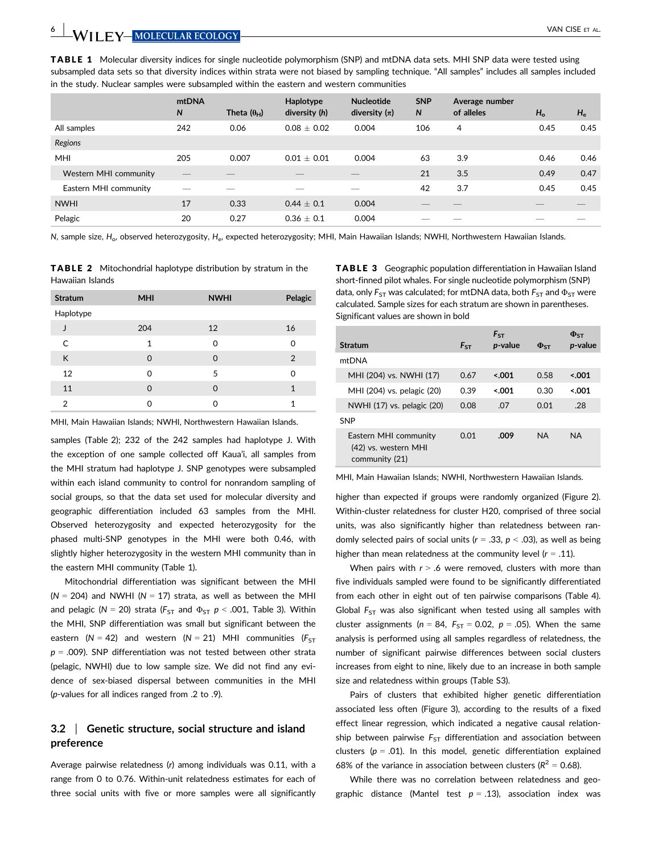TABLE 1 Molecular diversity indices for single nucleotide polymorphism (SNP) and mtDNA data sets. MHI SNP data were tested using subsampled data sets so that diversity indices within strata were not biased by sampling technique. "All samples" includes all samples included in the study. Nuclear samples were subsampled within the eastern and western communities

|                       | mtDNA<br>N | Theta $(\theta_{H})$ | Haplotype<br>diversity (h) | <b>Nucleotide</b><br>diversity $(\pi)$ | <b>SNP</b><br>N | Average number<br>of alleles | $H_{\rm o}$ | $H_{\rm e}$ |
|-----------------------|------------|----------------------|----------------------------|----------------------------------------|-----------------|------------------------------|-------------|-------------|
| All samples           | 242        | 0.06                 | $0.08 + 0.02$              | 0.004                                  | 106             | 4                            | 0.45        | 0.45        |
| Regions               |            |                      |                            |                                        |                 |                              |             |             |
| MHI                   | 205        | 0.007                | $0.01 \pm 0.01$            | 0.004                                  | 63              | 3.9                          | 0.46        | 0.46        |
| Western MHI community |            |                      |                            |                                        | 21              | 3.5                          | 0.49        | 0.47        |
| Eastern MHI community |            |                      | __                         |                                        | 42              | 3.7                          | 0.45        | 0.45        |
| <b>NWHI</b>           | 17         | 0.33                 | $0.44 \pm 0.1$             | 0.004                                  |                 |                              |             |             |
| Pelagic               | 20         | 0.27                 | $0.36 + 0.1$               | 0.004                                  |                 |                              |             |             |

N, sample size, H<sub>o</sub>, observed heterozygosity, H<sub>e</sub>, expected heterozygosity; MHI, Main Hawaiian Islands; NWHI, Northwestern Hawaiian Islands.

TABLE 2 Mitochondrial haplotype distribution by stratum in the Hawaiian Islands

| <b>Stratum</b> | <b>MHI</b> | <b>NWHI</b> | Pelagic        |
|----------------|------------|-------------|----------------|
| Haplotype      |            |             |                |
|                | 204        | 12          | 16             |
| $\mathsf{C}$   | 1          | 0           | ი              |
| К              | 0          | 0           | $\overline{2}$ |
| 12             | 0          | 5           | ი              |
| 11             | 0          | 0           | 1              |
| 2              | ∩          | n           | 1              |

MHI, Main Hawaiian Islands; NWHI, Northwestern Hawaiian Islands.

samples (Table 2); 232 of the 242 samples had haplotype J. With the exception of one sample collected off Kaua'i, all samples from the MHI stratum had haplotype J. SNP genotypes were subsampled within each island community to control for nonrandom sampling of social groups, so that the data set used for molecular diversity and geographic differentiation included 63 samples from the MHI. Observed heterozygosity and expected heterozygosity for the phased multi-SNP genotypes in the MHI were both 0.46, with slightly higher heterozygosity in the western MHI community than in the eastern MHI community (Table 1).

Mitochondrial differentiation was significant between the MHI  $(N = 204)$  and NWHI (N = 17) strata, as well as between the MHI and pelagic ( $N = 20$ ) strata ( $F_{ST}$  and  $\Phi_{ST}$   $p < .001$ , Table 3). Within the MHI, SNP differentiation was small but significant between the eastern (N = 42) and western (N = 21) MHI communities ( $F_{ST}$  $p = .009$ ). SNP differentiation was not tested between other strata (pelagic, NWHI) due to low sample size. We did not find any evidence of sex-biased dispersal between communities in the MHI (p-values for all indices ranged from .2 to .9).

# 3.2 | Genetic structure, social structure and island preference

Average pairwise relatedness (r) among individuals was 0.11, with a range from 0 to 0.76. Within-unit relatedness estimates for each of three social units with five or more samples were all significantly

TABLE 3 Geographic population differentiation in Hawaiian Island short-finned pilot whales. For single nucleotide polymorphism (SNP) data, only  $F_{ST}$  was calculated; for mtDNA data, both  $F_{ST}$  and  $\Phi_{ST}$  were calculated. Sample sizes for each stratum are shown in parentheses. Significant values are shown in bold

|                                                                 |          | $F_{ST}$ |                      | $\Phi$ <sub>ST</sub> |
|-----------------------------------------------------------------|----------|----------|----------------------|----------------------|
| Stratum                                                         | $F_{ST}$ | p-value  | $\Phi$ <sub>ST</sub> | <i>p</i> -value      |
| mtDNA                                                           |          |          |                      |                      |
| MHI (204) vs. NWHI (17)                                         | 0.67     | 5.001    | 0.58                 | 5.001                |
| MHI (204) vs. pelagic (20)                                      | 0.39     | 5.001    | 0.30                 | 5.001                |
| NWHI (17) vs. pelagic (20)                                      | 0.08     | .07      | 0.01                 | .28                  |
| SNP                                                             |          |          |                      |                      |
| Eastern MHI community<br>(42) vs. western MHI<br>community (21) | 0.01     | .009     | <b>NA</b>            | <b>NA</b>            |

MHI, Main Hawaiian Islands; NWHI, Northwestern Hawaiian Islands.

higher than expected if groups were randomly organized (Figure 2). Within-cluster relatedness for cluster H20, comprised of three social units, was also significantly higher than relatedness between randomly selected pairs of social units ( $r = .33$ ,  $p < .03$ ), as well as being higher than mean relatedness at the community level ( $r = .11$ ).

When pairs with  $r > 0.6$  were removed, clusters with more than five individuals sampled were found to be significantly differentiated from each other in eight out of ten pairwise comparisons (Table 4). Global  $F_{ST}$  was also significant when tested using all samples with cluster assignments ( $n = 84$ ,  $F_{ST} = 0.02$ ,  $p = .05$ ). When the same analysis is performed using all samples regardless of relatedness, the number of significant pairwise differences between social clusters increases from eight to nine, likely due to an increase in both sample size and relatedness within groups (Table S3).

Pairs of clusters that exhibited higher genetic differentiation associated less often (Figure 3), according to the results of a fixed effect linear regression, which indicated a negative causal relationship between pairwise  $F_{ST}$  differentiation and association between clusters ( $p = .01$ ). In this model, genetic differentiation explained 68% of the variance in association between clusters ( $R^2$  = 0.68).

While there was no correlation between relatedness and geographic distance (Mantel test  $p = .13$ ), association index was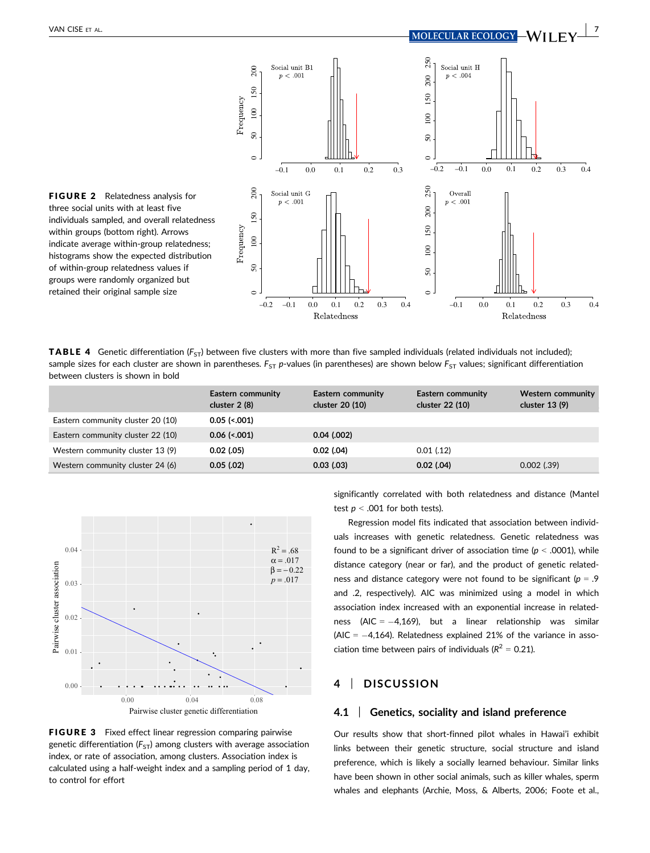

 $\sim$ 

FIGURE 2 Relatedness analysis for three social units with at least five individuals sampled, and overall relatedness within groups (bottom right). Arrows indicate average within-group relatedness; histograms show the expected distribution of within-group relatedness values if groups were randomly organized but retained their original sample size

**TABLE 4** Genetic differentiation ( $F_{ST}$ ) between five clusters with more than five sampled individuals (related individuals not included); sample sizes for each cluster are shown in parentheses.  $F_{ST}$  p-values (in parentheses) are shown below  $F_{ST}$  values; significant differentiation between clusters is shown in bold

 $\epsilon$ 

–0.2 –0.1 0.0 0.1 0.2 0.3 0.4

Relatedness

|                                   | Eastern community<br>cluster $2(8)$ | Eastern community<br>cluster 20 (10) | Eastern community<br>cluster 22 (10) | Western community<br>cluster $13(9)$ |
|-----------------------------------|-------------------------------------|--------------------------------------|--------------------------------------|--------------------------------------|
| Eastern community cluster 20 (10) | $0.05$ (<.001)                      |                                      |                                      |                                      |
| Eastern community cluster 22 (10) | $0.06$ (<.001)                      | $0.04$ $(.002)$                      |                                      |                                      |
| Western community cluster 13 (9)  | $0.02$ (.05)                        | $0.02$ (.04)                         | 0.01(0.12)                           |                                      |
| Western community cluster 24 (6)  | $0.05$ (.02)                        | 0.03(0.03)                           | $0.02$ (.04)                         | $0.002$ (.39)                        |



FIGURE 3 Fixed effect linear regression comparing pairwise genetic differentiation  $(F_{5T})$  among clusters with average association index, or rate of association, among clusters. Association index is calculated using a half-weight index and a sampling period of 1 day, to control for effort

significantly correlated with both relatedness and distance (Mantel test  $p < .001$  for both tests).

–0.1 0.0 0.1 0.2 0.3 0.4

Relatedness

Regression model fits indicated that association between individuals increases with genetic relatedness. Genetic relatedness was found to be a significant driver of association time ( $p < .0001$ ), while distance category (near or far), and the product of genetic relatedness and distance category were not found to be significant ( $p = .9$ and .2, respectively). AIC was minimized using a model in which association index increased with an exponential increase in relatedness (AIC =  $-4,169$ ), but a linear relationship was similar (AIC =  $-4,164$ ). Relatedness explained 21% of the variance in association time between pairs of individuals ( $R^2$  = 0.21).

# 4 | DISCUSSION

### 4.1 Genetics, sociality and island preference

Our results show that short-finned pilot whales in Hawai'i exhibit links between their genetic structure, social structure and island preference, which is likely a socially learned behaviour. Similar links have been shown in other social animals, such as killer whales, sperm whales and elephants (Archie, Moss, & Alberts, 2006; Foote et al.,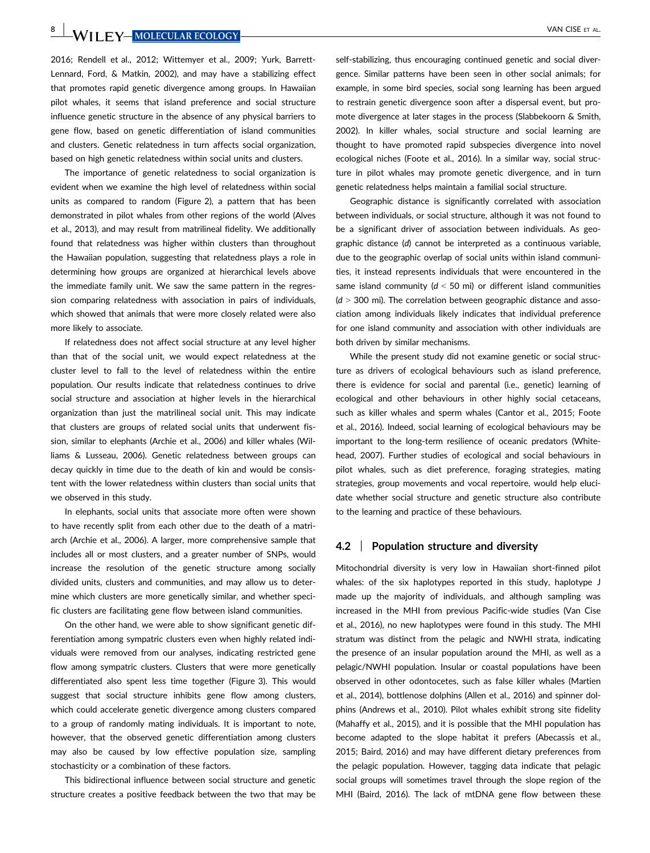8 WILLEY MOLECULAR ECOLOGY VAN CISE ET AL.

2016; Rendell et al., 2012; Wittemyer et al., 2009; Yurk, Barrett-Lennard, Ford, & Matkin, 2002), and may have a stabilizing effect that promotes rapid genetic divergence among groups. In Hawaiian pilot whales, it seems that island preference and social structure influence genetic structure in the absence of any physical barriers to gene flow, based on genetic differentiation of island communities and clusters. Genetic relatedness in turn affects social organization, based on high genetic relatedness within social units and clusters.

The importance of genetic relatedness to social organization is evident when we examine the high level of relatedness within social units as compared to random (Figure 2), a pattern that has been demonstrated in pilot whales from other regions of the world (Alves et al., 2013), and may result from matrilineal fidelity. We additionally found that relatedness was higher within clusters than throughout the Hawaiian population, suggesting that relatedness plays a role in determining how groups are organized at hierarchical levels above the immediate family unit. We saw the same pattern in the regression comparing relatedness with association in pairs of individuals, which showed that animals that were more closely related were also more likely to associate.

If relatedness does not affect social structure at any level higher than that of the social unit, we would expect relatedness at the cluster level to fall to the level of relatedness within the entire population. Our results indicate that relatedness continues to drive social structure and association at higher levels in the hierarchical organization than just the matrilineal social unit. This may indicate that clusters are groups of related social units that underwent fission, similar to elephants (Archie et al., 2006) and killer whales (Williams & Lusseau, 2006). Genetic relatedness between groups can decay quickly in time due to the death of kin and would be consistent with the lower relatedness within clusters than social units that we observed in this study.

In elephants, social units that associate more often were shown to have recently split from each other due to the death of a matriarch (Archie et al., 2006). A larger, more comprehensive sample that includes all or most clusters, and a greater number of SNPs, would increase the resolution of the genetic structure among socially divided units, clusters and communities, and may allow us to determine which clusters are more genetically similar, and whether specific clusters are facilitating gene flow between island communities.

On the other hand, we were able to show significant genetic differentiation among sympatric clusters even when highly related individuals were removed from our analyses, indicating restricted gene flow among sympatric clusters. Clusters that were more genetically differentiated also spent less time together (Figure 3). This would suggest that social structure inhibits gene flow among clusters, which could accelerate genetic divergence among clusters compared to a group of randomly mating individuals. It is important to note, however, that the observed genetic differentiation among clusters may also be caused by low effective population size, sampling stochasticity or a combination of these factors.

This bidirectional influence between social structure and genetic structure creates a positive feedback between the two that may be self-stabilizing, thus encouraging continued genetic and social divergence. Similar patterns have been seen in other social animals; for example, in some bird species, social song learning has been argued to restrain genetic divergence soon after a dispersal event, but promote divergence at later stages in the process (Slabbekoorn & Smith, 2002). In killer whales, social structure and social learning are thought to have promoted rapid subspecies divergence into novel ecological niches (Foote et al., 2016). In a similar way, social structure in pilot whales may promote genetic divergence, and in turn genetic relatedness helps maintain a familial social structure.

Geographic distance is significantly correlated with association between individuals, or social structure, although it was not found to be a significant driver of association between individuals. As geographic distance (d) cannot be interpreted as a continuous variable, due to the geographic overlap of social units within island communities, it instead represents individuals that were encountered in the same island community  $(d < 50$  mi) or different island communities  $(d > 300$  mi). The correlation between geographic distance and association among individuals likely indicates that individual preference for one island community and association with other individuals are both driven by similar mechanisms.

While the present study did not examine genetic or social structure as drivers of ecological behaviours such as island preference, there is evidence for social and parental (i.e., genetic) learning of ecological and other behaviours in other highly social cetaceans, such as killer whales and sperm whales (Cantor et al., 2015; Foote et al., 2016). Indeed, social learning of ecological behaviours may be important to the long-term resilience of oceanic predators (Whitehead, 2007). Further studies of ecological and social behaviours in pilot whales, such as diet preference, foraging strategies, mating strategies, group movements and vocal repertoire, would help elucidate whether social structure and genetic structure also contribute to the learning and practice of these behaviours.

### 4.2 | Population structure and diversity

Mitochondrial diversity is very low in Hawaiian short-finned pilot whales: of the six haplotypes reported in this study, haplotype J made up the majority of individuals, and although sampling was increased in the MHI from previous Pacific-wide studies (Van Cise et al., 2016), no new haplotypes were found in this study. The MHI stratum was distinct from the pelagic and NWHI strata, indicating the presence of an insular population around the MHI, as well as a pelagic/NWHI population. Insular or coastal populations have been observed in other odontocetes, such as false killer whales (Martien et al., 2014), bottlenose dolphins (Allen et al., 2016) and spinner dolphins (Andrews et al., 2010). Pilot whales exhibit strong site fidelity (Mahaffy et al., 2015), and it is possible that the MHI population has become adapted to the slope habitat it prefers (Abecassis et al., 2015; Baird, 2016) and may have different dietary preferences from the pelagic population. However, tagging data indicate that pelagic social groups will sometimes travel through the slope region of the MHI (Baird, 2016). The lack of mtDNA gene flow between these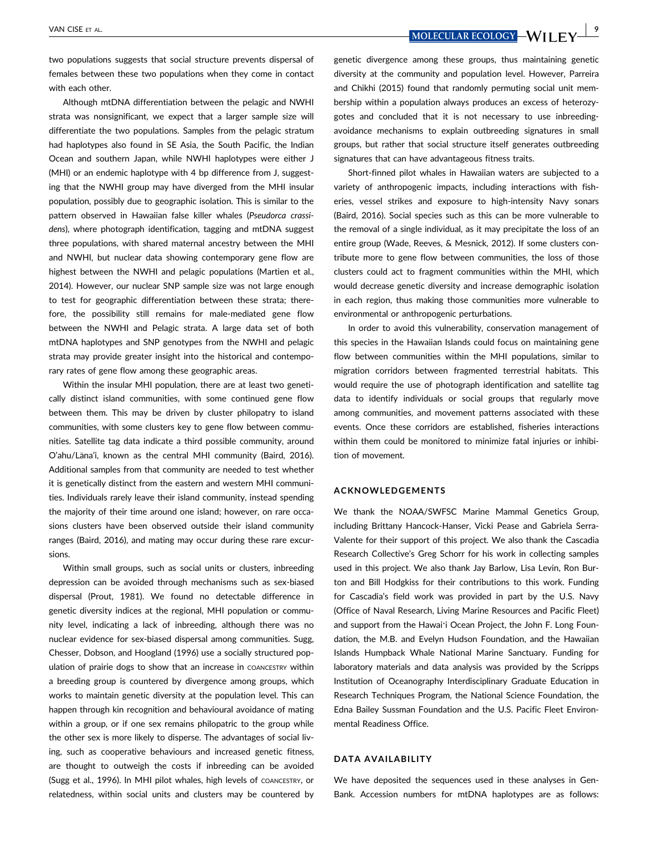two populations suggests that social structure prevents dispersal of females between these two populations when they come in contact with each other.

Although mtDNA differentiation between the pelagic and NWHI strata was nonsignificant, we expect that a larger sample size will differentiate the two populations. Samples from the pelagic stratum had haplotypes also found in SE Asia, the South Pacific, the Indian Ocean and southern Japan, while NWHI haplotypes were either J (MHI) or an endemic haplotype with 4 bp difference from J, suggesting that the NWHI group may have diverged from the MHI insular population, possibly due to geographic isolation. This is similar to the pattern observed in Hawaiian false killer whales (Pseudorca crassidens), where photograph identification, tagging and mtDNA suggest three populations, with shared maternal ancestry between the MHI and NWHI, but nuclear data showing contemporary gene flow are highest between the NWHI and pelagic populations (Martien et al., 2014). However, our nuclear SNP sample size was not large enough to test for geographic differentiation between these strata; therefore, the possibility still remains for male-mediated gene flow between the NWHI and Pelagic strata. A large data set of both mtDNA haplotypes and SNP genotypes from the NWHI and pelagic strata may provide greater insight into the historical and contemporary rates of gene flow among these geographic areas.

Within the insular MHI population, there are at least two genetically distinct island communities, with some continued gene flow between them. This may be driven by cluster philopatry to island communities, with some clusters key to gene flow between communities. Satellite tag data indicate a third possible community, around O'ahu/Lana'i, known as the central MHI community (Baird, 2016). Additional samples from that community are needed to test whether it is genetically distinct from the eastern and western MHI communities. Individuals rarely leave their island community, instead spending the majority of their time around one island; however, on rare occasions clusters have been observed outside their island community ranges (Baird, 2016), and mating may occur during these rare excursions.

Within small groups, such as social units or clusters, inbreeding depression can be avoided through mechanisms such as sex-biased dispersal (Prout, 1981). We found no detectable difference in genetic diversity indices at the regional, MHI population or community level, indicating a lack of inbreeding, although there was no nuclear evidence for sex-biased dispersal among communities. Sugg, Chesser, Dobson, and Hoogland (1996) use a socially structured population of prairie dogs to show that an increase in COANCESTRY within a breeding group is countered by divergence among groups, which works to maintain genetic diversity at the population level. This can happen through kin recognition and behavioural avoidance of mating within a group, or if one sex remains philopatric to the group while the other sex is more likely to disperse. The advantages of social living, such as cooperative behaviours and increased genetic fitness, are thought to outweigh the costs if inbreeding can be avoided (Sugg et al., 1996). In MHI pilot whales, high levels of COANCESTRY, or relatedness, within social units and clusters may be countered by genetic divergence among these groups, thus maintaining genetic diversity at the community and population level. However, Parreira and Chikhi (2015) found that randomly permuting social unit membership within a population always produces an excess of heterozygotes and concluded that it is not necessary to use inbreedingavoidance mechanisms to explain outbreeding signatures in small groups, but rather that social structure itself generates outbreeding signatures that can have advantageous fitness traits.

Short-finned pilot whales in Hawaiian waters are subjected to a variety of anthropogenic impacts, including interactions with fisheries, vessel strikes and exposure to high-intensity Navy sonars (Baird, 2016). Social species such as this can be more vulnerable to the removal of a single individual, as it may precipitate the loss of an entire group (Wade, Reeves, & Mesnick, 2012). If some clusters contribute more to gene flow between communities, the loss of those clusters could act to fragment communities within the MHI, which would decrease genetic diversity and increase demographic isolation in each region, thus making those communities more vulnerable to environmental or anthropogenic perturbations.

In order to avoid this vulnerability, conservation management of this species in the Hawaiian Islands could focus on maintaining gene flow between communities within the MHI populations, similar to migration corridors between fragmented terrestrial habitats. This would require the use of photograph identification and satellite tag data to identify individuals or social groups that regularly move among communities, and movement patterns associated with these events. Once these corridors are established, fisheries interactions within them could be monitored to minimize fatal injuries or inhibition of movement.

#### ACKNOWLEDGEMENTS

We thank the NOAA/SWFSC Marine Mammal Genetics Group, including Brittany Hancock-Hanser, Vicki Pease and Gabriela Serra-Valente for their support of this project. We also thank the Cascadia Research Collective's Greg Schorr for his work in collecting samples used in this project. We also thank Jay Barlow, Lisa Levin, Ron Burton and Bill Hodgkiss for their contributions to this work. Funding for Cascadia's field work was provided in part by the U.S. Navy (Office of Naval Research, Living Marine Resources and Pacific Fleet) and support from the Hawaiʻi Ocean Project, the John F. Long Foundation, the M.B. and Evelyn Hudson Foundation, and the Hawaiian Islands Humpback Whale National Marine Sanctuary. Funding for laboratory materials and data analysis was provided by the Scripps Institution of Oceanography Interdisciplinary Graduate Education in Research Techniques Program, the National Science Foundation, the Edna Bailey Sussman Foundation and the U.S. Pacific Fleet Environmental Readiness Office.

### DATA AVAILABILITY

We have deposited the sequences used in these analyses in Gen-Bank. Accession numbers for mtDNA haplotypes are as follows: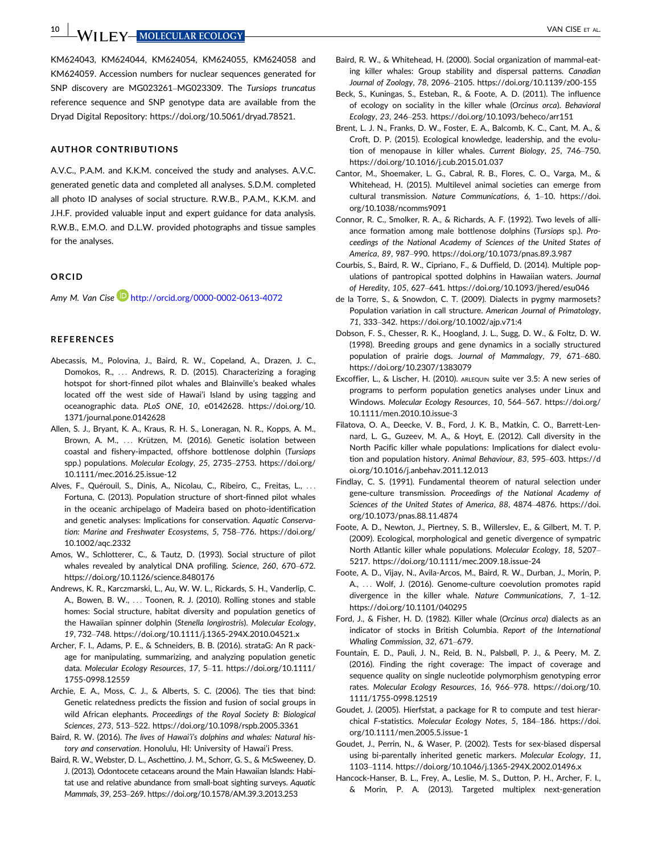THE **Y-MOLECULAR ECOLOGY Notify that the set of the set of the set of the set of the set of the set of the set of the set of the set of the set of the set of the set of the set of the set of the set of the set of the set** 

[KM624043](http://www.ncbi.nlm.nih.gov/nuccore/KM624043), [KM624044,](http://www.ncbi.nlm.nih.gov/nuccore/KM624044) [KM624054](http://www.ncbi.nlm.nih.gov/nuccore/KM624054), [KM624055,](http://www.ncbi.nlm.nih.gov/nuccore/KM624055) [KM624058](http://www.ncbi.nlm.nih.gov/nuccore/KM624058) and [KM624059](http://www.ncbi.nlm.nih.gov/nuccore/KM624059). Accession numbers for nuclear sequences generated for SNP discovery are [MG023261](http://www.ncbi.nlm.nih.gov/nuccore/MG023261)–[MG023309.](http://www.ncbi.nlm.nih.gov/nuccore/MG023309) The Tursiops truncatus reference sequence and SNP genotype data are available from the Dryad Digital Repository: [https://doi.org/10.5061/dryad.78521.](https://doi.org/10.5061/dryad.78521)

#### AUTHOR CONTRIBUTIONS

A.V.C., P.A.M. and K.K.M. conceived the study and analyses. A.V.C. generated genetic data and completed all analyses. S.D.M. completed all photo ID analyses of social structure. R.W.B., P.A.M., K.K.M. and J.H.F. provided valuable input and expert guidance for data analysis. R.W.B., E.M.O. and D.L.W. provided photographs and tissue samples for the analyses.

#### ORCID

Amy M. Van Cise **b** http://orcid.org/0000-0002-0613-4072

### **REFERENCES**

- Abecassis, M., Polovina, J., Baird, R. W., Copeland, A., Drazen, J. C., Domokos, R., ... Andrews, R. D. (2015). Characterizing a foraging hotspot for short-finned pilot whales and Blainville's beaked whales located off the west side of Hawai'i Island by using tagging and oceanographic data. PLoS ONE, 10, e0142628. [https://doi.org/10.](https://doi.org/10.1371/journal.pone.0142628) [1371/journal.pone.0142628](https://doi.org/10.1371/journal.pone.0142628)
- Allen, S. J., Bryant, K. A., Kraus, R. H. S., Loneragan, N. R., Kopps, A. M., Brown, A. M., ... Krützen, M. (2016). Genetic isolation between coastal and fishery-impacted, offshore bottlenose dolphin (Tursiops spp.) populations. Molecular Ecology, 25, 2735–2753. [https://doi.org/](https://doi.org/10.1111/mec.2016.25.issue-12) [10.1111/mec.2016.25.issue-12](https://doi.org/10.1111/mec.2016.25.issue-12)
- Alves, F., Quérouil, S., Dinis, A., Nicolau, C., Ribeiro, C., Freitas, L., ... Fortuna, C. (2013). Population structure of short-finned pilot whales in the oceanic archipelago of Madeira based on photo-identification and genetic analyses: Implications for conservation. Aquatic Conservation: Marine and Freshwater Ecosystems, 5, 758–776. [https://doi.org/](https://doi.org/10.1002/aqc.2332) [10.1002/aqc.2332](https://doi.org/10.1002/aqc.2332)
- Amos, W., Schlotterer, C., & Tautz, D. (1993). Social structure of pilot whales revealed by analytical DNA profiling. Science, 260, 670–672. <https://doi.org/10.1126/science.8480176>
- Andrews, K. R., Karczmarski, L., Au, W. W. L., Rickards, S. H., Vanderlip, C. A., Bowen, B. W., ... Toonen, R. J. (2010). Rolling stones and stable homes: Social structure, habitat diversity and population genetics of the Hawaiian spinner dolphin (Stenella longirostris). Molecular Ecology, 19, 732–748.<https://doi.org/10.1111/j.1365-294X.2010.04521.x>
- Archer, F. I., Adams, P. E., & Schneiders, B. B. (2016). strataG: An R package for manipulating, summarizing, and analyzing population genetic data. Molecular Ecology Resources, 17, 5–11. [https://doi.org/10.1111/](https://doi.org/10.1111/1755-0998.12559) [1755-0998.12559](https://doi.org/10.1111/1755-0998.12559)
- Archie, E. A., Moss, C. J., & Alberts, S. C. (2006). The ties that bind: Genetic relatedness predicts the fission and fusion of social groups in wild African elephants. Proceedings of the Royal Society B: Biological Sciences, 273, 513–522.<https://doi.org/10.1098/rspb.2005.3361>
- Baird, R. W. (2016). The lives of Hawai'i's dolphins and whales: Natural history and conservation. Honolulu, HI: University of Hawai'i Press.
- Baird, R. W., Webster, D. L., Aschettino, J. M., Schorr, G. S., & McSweeney, D. J. (2013). Odontocete cetaceans around the Main Hawaiian Islands: Habitat use and relative abundance from small-boat sighting surveys. Aquatic Mammals, 39, 253–269.<https://doi.org/10.1578/AM.39.3.2013.253>
- Baird, R. W., & Whitehead, H. (2000). Social organization of mammal-eating killer whales: Group stability and dispersal patterns. Canadian Journal of Zoology, 78, 2096–2105.<https://doi.org/10.1139/z00-155>
- Beck, S., Kuningas, S., Esteban, R., & Foote, A. D. (2011). The influence of ecology on sociality in the killer whale (Orcinus orca). Behavioral Ecology, 23, 246–253.<https://doi.org/10.1093/beheco/arr151>
- Brent, L. J. N., Franks, D. W., Foster, E. A., Balcomb, K. C., Cant, M. A., & Croft, D. P. (2015). Ecological knowledge, leadership, and the evolution of menopause in killer whales. Current Biology, 25, 746–750. <https://doi.org/10.1016/j.cub.2015.01.037>
- Cantor, M., Shoemaker, L. G., Cabral, R. B., Flores, C. O., Varga, M., & Whitehead, H. (2015). Multilevel animal societies can emerge from cultural transmission. Nature Communications, 6, 1–10. [https://doi.](https://doi.org/10.1038/ncomms9091) [org/10.1038/ncomms9091](https://doi.org/10.1038/ncomms9091)
- Connor, R. C., Smolker, R. A., & Richards, A. F. (1992). Two levels of alliance formation among male bottlenose dolphins (Tursiops sp.). Proceedings of the National Academy of Sciences of the United States of America, 89, 987–990.<https://doi.org/10.1073/pnas.89.3.987>
- Courbis, S., Baird, R. W., Cipriano, F., & Duffield, D. (2014). Multiple populations of pantropical spotted dolphins in Hawaiian waters. Journal of Heredity, 105, 627–641.<https://doi.org/10.1093/jhered/esu046>
- de la Torre, S., & Snowdon, C. T. (2009). Dialects in pygmy marmosets? Population variation in call structure. American Journal of Primatology, 71, 333–342.<https://doi.org/10.1002/ajp.v71:4>
- Dobson, F. S., Chesser, R. K., Hoogland, J. L., Sugg, D. W., & Foltz, D. W. (1998). Breeding groups and gene dynamics in a socially structured population of prairie dogs. Journal of Mammalogy, 79, 671–680. <https://doi.org/10.2307/1383079>
- Excoffier, L., & Lischer, H. (2010). ARLEQUIN suite ver 3.5: A new series of programs to perform population genetics analyses under Linux and Windows. Molecular Ecology Resources, 10, 564–567. [https://doi.org/](https://doi.org/10.1111/men.2010.10.issue-3) [10.1111/men.2010.10.issue-3](https://doi.org/10.1111/men.2010.10.issue-3)
- Filatova, O. A., Deecke, V. B., Ford, J. K. B., Matkin, C. O., Barrett-Lennard, L. G., Guzeev, M. A., & Hoyt, E. (2012). Call diversity in the North Pacific killer whale populations: Implications for dialect evolution and population history. Animal Behaviour, 83, 595–603. [https://d](https://doi.org/10.1016/j.anbehav.2011.12.013) [oi.org/10.1016/j.anbehav.2011.12.013](https://doi.org/10.1016/j.anbehav.2011.12.013)
- Findlay, C. S. (1991). Fundamental theorem of natural selection under gene-culture transmission. Proceedings of the National Academy of Sciences of the United States of America, 88, 4874–4876. [https://doi.](https://doi.org/10.1073/pnas.88.11.4874) [org/10.1073/pnas.88.11.4874](https://doi.org/10.1073/pnas.88.11.4874)
- Foote, A. D., Newton, J., Piertney, S. B., Willerslev, E., & Gilbert, M. T. P. (2009). Ecological, morphological and genetic divergence of sympatric North Atlantic killer whale populations. Molecular Ecology, 18, 5207– 5217.<https://doi.org/10.1111/mec.2009.18.issue-24>
- Foote, A. D., Vijay, N., Avila-Arcos, M., Baird, R. W., Durban, J., Morin, P. A., ... Wolf, J. (2016). Genome-culture coevolution promotes rapid divergence in the killer whale. Nature Communications, 7, 1–12. <https://doi.org/10.1101/040295>
- Ford, J., & Fisher, H. D. (1982). Killer whale (Orcinus orca) dialects as an indicator of stocks in British Columbia. Report of the International Whaling Commission, 32, 671–679.
- Fountain, E. D., Pauli, J. N., Reid, B. N., Palsbøll, P. J., & Peery, M. Z. (2016). Finding the right coverage: The impact of coverage and sequence quality on single nucleotide polymorphism genotyping error rates. Molecular Ecology Resources, 16, 966–978. [https://doi.org/10.](https://doi.org/10.1111/1755-0998.12519) [1111/1755-0998.12519](https://doi.org/10.1111/1755-0998.12519)
- Goudet, J. (2005). Hierfstat, a package for R to compute and test hierarchical F-statistics. Molecular Ecology Notes, 5, 184–186. [https://doi.](https://doi.org/10.1111/men.2005.5.issue-1) [org/10.1111/men.2005.5.issue-1](https://doi.org/10.1111/men.2005.5.issue-1)
- Goudet, J., Perrin, N., & Waser, P. (2002). Tests for sex-biased dispersal using bi-parentally inherited genetic markers. Molecular Ecology, 11, 1103–1114.<https://doi.org/10.1046/j.1365-294X.2002.01496.x>
- Hancock-Hanser, B. L., Frey, A., Leslie, M. S., Dutton, P. H., Archer, F. I., & Morin, P. A. (2013). Targeted multiplex next-generation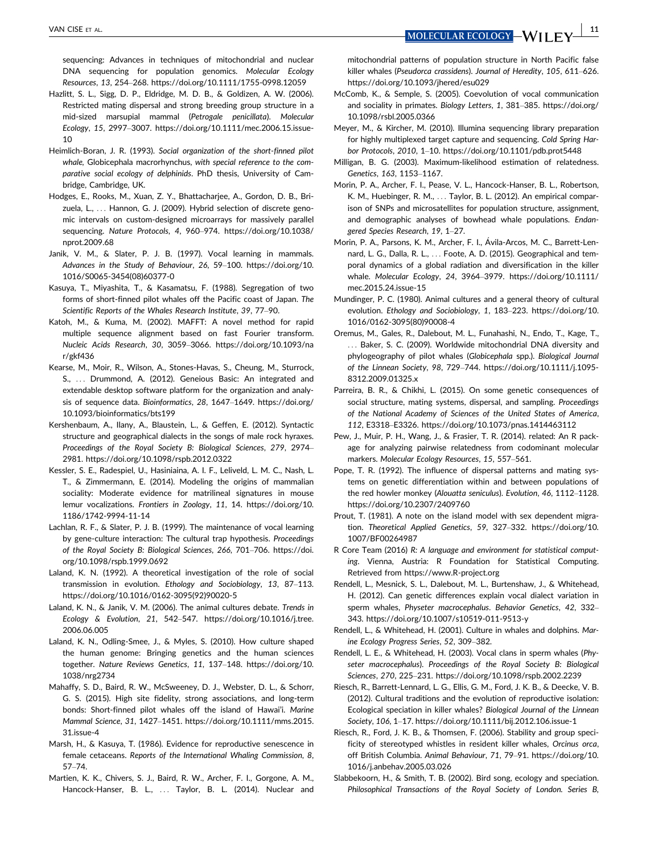VAN CISE ET AL.  $\frac{11}{2}$ 

sequencing: Advances in techniques of mitochondrial and nuclear DNA sequencing for population genomics. Molecular Ecology Resources, 13, 254–268.<https://doi.org/10.1111/1755-0998.12059>

- Hazlitt, S. L., Sigg, D. P., Eldridge, M. D. B., & Goldizen, A. W. (2006). Restricted mating dispersal and strong breeding group structure in a mid-sized marsupial mammal (Petrogale penicillata). Molecular Ecology, 15, 2997–3007. [https://doi.org/10.1111/mec.2006.15.issue-](https://doi.org/10.1111/mec.2006.15.issue-10)[10](https://doi.org/10.1111/mec.2006.15.issue-10)
- Heimlich-Boran, J. R. (1993). Social organization of the short-finned pilot whale. Globicephala macrorhynchus, with special reference to the comparative social ecology of delphinids. PhD thesis, University of Cambridge, Cambridge, UK.
- Hodges, E., Rooks, M., Xuan, Z. Y., Bhattacharjee, A., Gordon, D. B., Brizuela, L., ... Hannon, G. J. (2009). Hybrid selection of discrete genomic intervals on custom-designed microarrays for massively parallel sequencing. Nature Protocols, 4, 960–974. [https://doi.org/10.1038/](https://doi.org/10.1038/nprot.2009.68) [nprot.2009.68](https://doi.org/10.1038/nprot.2009.68)
- Janik, V. M., & Slater, P. J. B. (1997). Vocal learning in mammals. Advances in the Study of Behaviour, 26, 59–100. [https://doi.org/10.](https://doi.org/10.1016/S0065-3454(08)60377-0) [1016/S0065-3454\(08\)60377-0](https://doi.org/10.1016/S0065-3454(08)60377-0)
- Kasuya, T., Miyashita, T., & Kasamatsu, F. (1988). Segregation of two forms of short-finned pilot whales off the Pacific coast of Japan. The Scientific Reports of the Whales Research Institute, 39, 77–90.
- Katoh, M., & Kuma, M. (2002). MAFFT: A novel method for rapid multiple sequence alignment based on fast Fourier transform. Nucleic Acids Research, 30, 3059–3066. [https://doi.org/10.1093/na](https://doi.org/10.1093/nar/gkf436) [r/gkf436](https://doi.org/10.1093/nar/gkf436)
- Kearse, M., Moir, R., Wilson, A., Stones-Havas, S., Cheung, M., Sturrock, S., ... Drummond, A. (2012). Geneious Basic: An integrated and extendable desktop software platform for the organization and analysis of sequence data. Bioinformatics, 28, 1647–1649. [https://doi.org/](https://doi.org/10.1093/bioinformatics/bts199) [10.1093/bioinformatics/bts199](https://doi.org/10.1093/bioinformatics/bts199)
- Kershenbaum, A., Ilany, A., Blaustein, L., & Geffen, E. (2012). Syntactic structure and geographical dialects in the songs of male rock hyraxes. Proceedings of the Royal Society B: Biological Sciences, 279, 2974– 2981.<https://doi.org/10.1098/rspb.2012.0322>
- Kessler, S. E., Radespiel, U., Hasiniaina, A. I. F., Leliveld, L. M. C., Nash, L. T., & Zimmermann, E. (2014). Modeling the origins of mammalian sociality: Moderate evidence for matrilineal signatures in mouse lemur vocalizations. Frontiers in Zoology, 11, 14. [https://doi.org/10.](https://doi.org/10.1186/1742-9994-11-14) [1186/1742-9994-11-14](https://doi.org/10.1186/1742-9994-11-14)
- Lachlan, R. F., & Slater, P. J. B. (1999). The maintenance of vocal learning by gene-culture interaction: The cultural trap hypothesis. Proceedings of the Royal Society B: Biological Sciences, 266, 701–706. [https://doi.](https://doi.org/10.1098/rspb.1999.0692) [org/10.1098/rspb.1999.0692](https://doi.org/10.1098/rspb.1999.0692)
- Laland, K. N. (1992). A theoretical investigation of the role of social transmission in evolution. Ethology and Sociobiology, 13, 87–113. [https://doi.org/10.1016/0162-3095\(92\)90020-5](https://doi.org/10.1016/0162-3095(92)90020-5)
- Laland, K. N., & Janik, V. M. (2006). The animal cultures debate. Trends in Ecology & Evolution, 21, 542–547. [https://doi.org/10.1016/j.tree.](https://doi.org/10.1016/j.tree.2006.06.005) [2006.06.005](https://doi.org/10.1016/j.tree.2006.06.005)
- Laland, K. N., Odling-Smee, J., & Myles, S. (2010). How culture shaped the human genome: Bringing genetics and the human sciences together. Nature Reviews Genetics, 11, 137–148. [https://doi.org/10.](https://doi.org/10.1038/nrg2734) [1038/nrg2734](https://doi.org/10.1038/nrg2734)
- Mahaffy, S. D., Baird, R. W., McSweeney, D. J., Webster, D. L., & Schorr, G. S. (2015). High site fidelity, strong associations, and long-term bonds: Short-finned pilot whales off the island of Hawai'i. Marine Mammal Science, 31, 1427–1451. [https://doi.org/10.1111/mms.2015.](https://doi.org/10.1111/mms.2015.31.issue-4) [31.issue-4](https://doi.org/10.1111/mms.2015.31.issue-4)
- Marsh, H., & Kasuya, T. (1986). Evidence for reproductive senescence in female cetaceans. Reports of the International Whaling Commission, 8, 57–74.
- Martien, K. K., Chivers, S. J., Baird, R. W., Archer, F. I., Gorgone, A. M., Hancock-Hanser, B. L., ... Taylor, B. L. (2014). Nuclear and

mitochondrial patterns of population structure in North Pacific false killer whales (Pseudorca crassidens). Journal of Heredity, 105, 611–626. <https://doi.org/10.1093/jhered/esu029>

- McComb, K., & Semple, S. (2005). Coevolution of vocal communication and sociality in primates. Biology Letters, 1, 381–385. [https://doi.org/](https://doi.org/10.1098/rsbl.2005.0366) [10.1098/rsbl.2005.0366](https://doi.org/10.1098/rsbl.2005.0366)
- Meyer, M., & Kircher, M. (2010). Illumina sequencing library preparation for highly multiplexed target capture and sequencing. Cold Spring Harbor Protocols, 2010, 1–10.<https://doi.org/10.1101/pdb.prot5448>
- Milligan, B. G. (2003). Maximum-likelihood estimation of relatedness. Genetics, 163, 1153–1167.
- Morin, P. A., Archer, F. I., Pease, V. L., Hancock-Hanser, B. L., Robertson, K. M., Huebinger, R. M., ... Taylor, B. L. (2012). An empirical comparison of SNPs and microsatellites for population structure, assignment, and demographic analyses of bowhead whale populations. Endangered Species Research, 19, 1–27.
- Morin, P. A., Parsons, K. M., Archer, F. I., Avila-Arcos, M. C., Barrett-Len nard, L. G., Dalla, R. L., ... Foote, A. D. (2015). Geographical and temporal dynamics of a global radiation and diversification in the killer whale. Molecular Ecology, 24, 3964–3979. [https://doi.org/10.1111/](https://doi.org/10.1111/mec.2015.24.issue-15) mec. 2015.24 issue-15
- Mundinger, P. C. (1980). Animal cultures and a general theory of cultural evolution. Ethology and Sociobiology, 1, 183–223. [https://doi.org/10.](https://doi.org/10.1016/0162-3095(80)90008-4) [1016/0162-3095\(80\)90008-4](https://doi.org/10.1016/0162-3095(80)90008-4)
- Oremus, M., Gales, R., Dalebout, M. L., Funahashi, N., Endo, T., Kage, T., ... Baker, S. C. (2009). Worldwide mitochondrial DNA diversity and phylogeography of pilot whales (Globicephala spp.). Biological Journal of the Linnean Society, 98, 729–744. [https://doi.org/10.1111/j.1095-](https://doi.org/10.1111/j.1095-8312.2009.01325.x) [8312.2009.01325.x](https://doi.org/10.1111/j.1095-8312.2009.01325.x)
- Parreira, B. R., & Chikhi, L. (2015). On some genetic consequences of social structure, mating systems, dispersal, and sampling. Proceedings of the National Academy of Sciences of the United States of America, 112, E3318–E3326.<https://doi.org/10.1073/pnas.1414463112>
- Pew, J., Muir, P. H., Wang, J., & Frasier, T. R. (2014). related: An R package for analyzing pairwise relatedness from codominant molecular markers. Molecular Ecology Resources, 15, 557–561.
- Pope, T. R. (1992). The influence of dispersal patterns and mating systems on genetic differentiation within and between populations of the red howler monkey (Alouatta seniculus). Evolution, 46, 1112–1128. <https://doi.org/10.2307/2409760>
- Prout, T. (1981). A note on the island model with sex dependent migration. Theoretical Applied Genetics, 59, 327–332. [https://doi.org/10.](https://doi.org/10.1007/BF00264987) [1007/BF00264987](https://doi.org/10.1007/BF00264987)
- R Core Team (2016) R: A language and environment for statistical computing. Vienna, Austria: R Foundation for Statistical Computing. Retrieved from<https://www.R-project.org>
- Rendell, L., Mesnick, S. L., Dalebout, M. L., Burtenshaw, J., & Whitehead, H. (2012). Can genetic differences explain vocal dialect variation in sperm whales, Physeter macrocephalus. Behavior Genetics, 42, 332– 343.<https://doi.org/10.1007/s10519-011-9513-y>
- Rendell, L., & Whitehead, H. (2001). Culture in whales and dolphins. Marine Ecology Progress Series, 52, 309–382.
- Rendell, L. E., & Whitehead, H. (2003). Vocal clans in sperm whales (Physeter macrocephalus). Proceedings of the Royal Society B: Biological Sciences, 270, 225–231.<https://doi.org/10.1098/rspb.2002.2239>
- Riesch, R., Barrett-Lennard, L. G., Ellis, G. M., Ford, J. K. B., & Deecke, V. B. (2012). Cultural traditions and the evolution of reproductive isolation: Ecological speciation in killer whales? Biological Journal of the Linnean Society, 106, 1–17.<https://doi.org/10.1111/bij.2012.106.issue-1>
- Riesch, R., Ford, J. K. B., & Thomsen, F. (2006). Stability and group specificity of stereotyped whistles in resident killer whales, Orcinus orca, off British Columbia. Animal Behaviour, 71, 79–91. [https://doi.org/10.](https://doi.org/10.1016/j.anbehav.2005.03.026) [1016/j.anbehav.2005.03.026](https://doi.org/10.1016/j.anbehav.2005.03.026)
- Slabbekoorn, H., & Smith, T. B. (2002). Bird song, ecology and speciation. Philosophical Transactions of the Royal Society of London. Series B,